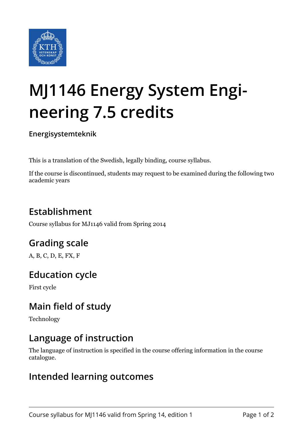

# **MJ1146 Energy System Engineering 7.5 credits**

**Energisystemteknik**

This is a translation of the Swedish, legally binding, course syllabus.

If the course is discontinued, students may request to be examined during the following two academic years

# **Establishment**

Course syllabus for MJ1146 valid from Spring 2014

# **Grading scale**

A, B, C, D, E, FX, F

## **Education cycle**

First cycle

## **Main field of study**

Technology

#### **Language of instruction**

The language of instruction is specified in the course offering information in the course catalogue.

#### **Intended learning outcomes**